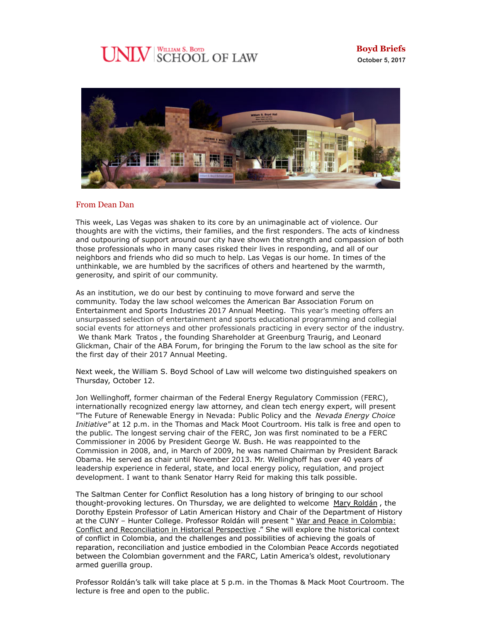# **UNLV** SCHOOL OF LAW



### From Dean Dan

This week, Las Vegas was shaken to its core by an unimaginable act of violence. Our thoughts are with the victims, their families, and the first responders. The acts of kindness and outpouring of support around our city have shown the strength and compassion of both those professionals who in many cases risked their lives in responding, and all of our neighbors and friends who did so much to help. Las Vegas is our home. In times of the unthinkable, we are humbled by the sacrifices of others and heartened by the warmth, generosity, and spirit of our community.

As an institution, we do our best by continuing to move forward and serve the community. Today the law school welcomes the American Bar Association Forum on Entertainment and Sports Industries 2017 Annual Meeting. This year's meeting offers an unsurpassed selection of entertainment and sports educational programming and collegial social events for attorneys and other professionals practicing in every sector of the industry. We thank Mark Tratos , the founding Shareholder at Greenburg Traurig, and Leonard Glickman, Chair of the ABA Forum, for bringing the Forum to the law school as the site for the first day of their 2017 Annual Meeting.

Next week, the William S. Boyd School of Law will welcome two distinguished speakers on Thursday, October 12.

Jon Wellinghoff, former chairman of the Federal Energy Regulatory Commission (FERC), internationally recognized energy law attorney, and clean tech energy expert, will present "The Future of Renewable Energy in Nevada: Public Policy and the *Nevada Energy Choice Initiative"* at 12 p.m. in the Thomas and Mack Moot Courtroom. His talk is free and open to the public. The longest serving chair of the FERC, Jon was first nominated to be a FERC Commissioner in 2006 by President George W. Bush. He was reappointed to the Commission in 2008, and, in March of 2009, he was named Chairman by President Barack Obama. He served as chair until November 2013. Mr. Wellinghoff has over 40 years of leadership experience in federal, state, and local energy policy, regulation, and project development. I want to thank Senator Harry Reid for making this talk possible.

The Saltman Center for Conflict Resolution has a long history of bringing to our school thought-provoking lectures. On Thursday, we are delighted to welcome [Mary Roldán](https://www.gc.cuny.edu/Page-Elements/Academics-Research-Centers-Initiatives/Doctoral-Programs/History/Faculty-Bios/Mary-Roldan), the Dorothy Epstein Professor of Latin American History and Chair of the Department of History at the CUNY - Hunter College. Professor Roldán will present " War and Peace in Colombia: [Conflict and Reconciliation in Historical Perspective](https://law.unlv.edu/event/saltman-lecture-war-and-peace-colombia) ." She will explore the historical context of conflict in Colombia, and the challenges and possibilities of achieving the goals of reparation, reconciliation and justice embodied in the Colombian Peace Accords negotiated between the Colombian government and the FARC, Latin America's oldest, revolutionary armed guerilla group.

Professor Roldán's talk will take place at 5 p.m. in the Thomas & Mack Moot Courtroom. The lecture is free and open to the public.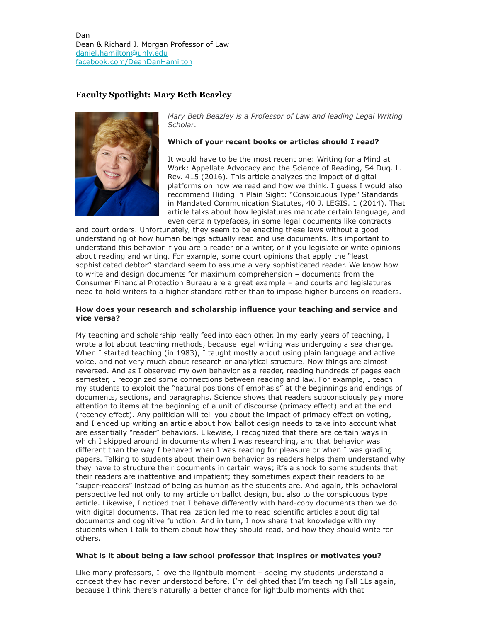Dan Dean & Richard J. Morgan Professor of Law [daniel.hamilton@unlv.edu](mailto:daniel.hamilton@unlv.edu) [facebook.com/DeanDanHamilton](https://www.facebook.com/DeanDanHamilton)

# **Faculty Spotlight: Mary Beth Beazley**



*Mary Beth Beazley is a Professor of Law and leading Legal Writing Scholar.*

#### **Which of your recent books or articles should I read?**

It would have to be the most recent one: Writing for a Mind at Work: Appellate Advocacy and the Science of Reading, 54 Duq. L. Rev. 415 (2016). This article analyzes the impact of digital platforms on how we read and how we think. I guess I would also recommend Hiding in Plain Sight: "Conspicuous Type" Standards in Mandated Communication Statutes, 40 J. LEGIS. 1 (2014). That article talks about how legislatures mandate certain language, and even certain typefaces, in some legal documents like contracts

and court orders. Unfortunately, they seem to be enacting these laws without a good understanding of how human beings actually read and use documents. It's important to understand this behavior if you are a reader or a writer, or if you legislate or write opinions about reading and writing. For example, some court opinions that apply the "least sophisticated debtor" standard seem to assume a very sophisticated reader. We know how to write and design documents for maximum comprehension – documents from the Consumer Financial Protection Bureau are a great example – and courts and legislatures need to hold writers to a higher standard rather than to impose higher burdens on readers.

#### **How does your research and scholarship influence your teaching and service and vice versa?**

My teaching and scholarship really feed into each other. In my early years of teaching, I wrote a lot about teaching methods, because legal writing was undergoing a sea change. When I started teaching (in 1983), I taught mostly about using plain language and active voice, and not very much about research or analytical structure. Now things are almost reversed. And as I observed my own behavior as a reader, reading hundreds of pages each semester, I recognized some connections between reading and law. For example, I teach my students to exploit the "natural positions of emphasis" at the beginnings and endings of documents, sections, and paragraphs. Science shows that readers subconsciously pay more attention to items at the beginning of a unit of discourse (primacy effect) and at the end (recency effect). Any politician will tell you about the impact of primacy effect on voting, and I ended up writing an article about how ballot design needs to take into account what are essentially "reader" behaviors. Likewise, I recognized that there are certain ways in which I skipped around in documents when I was researching, and that behavior was different than the way I behaved when I was reading for pleasure or when I was grading papers. Talking to students about their own behavior as readers helps them understand why they have to structure their documents in certain ways; it's a shock to some students that their readers are inattentive and impatient; they sometimes expect their readers to be "super-readers" instead of being as human as the students are. And again, this behavioral perspective led not only to my article on ballot design, but also to the conspicuous type article. Likewise, I noticed that I behave differently with hard-copy documents than we do with digital documents. That realization led me to read scientific articles about digital documents and cognitive function. And in turn, I now share that knowledge with my students when I talk to them about how they should read, and how they should write for others.

#### **What is it about being a law school professor that inspires or motivates you?**

Like many professors, I love the lightbulb moment – seeing my students understand a concept they had never understood before. I'm delighted that I'm teaching Fall 1Ls again, because I think there's naturally a better chance for lightbulb moments with that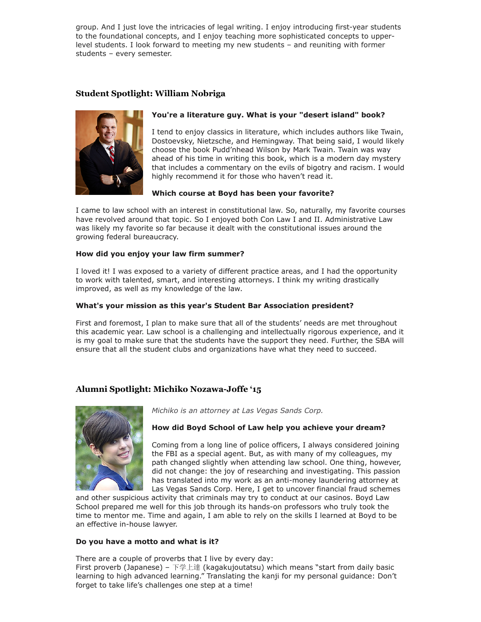group. And I just love the intricacies of legal writing. I enjoy introducing first-year students to the foundational concepts, and I enjoy teaching more sophisticated concepts to upperlevel students. I look forward to meeting my new students – and reuniting with former students – every semester.

## **Student Spotlight: William Nobriga**



## **You're a literature guy. What is your "desert island" book?**

I tend to enjoy classics in literature, which includes authors like Twain, Dostoevsky, Nietzsche, and Hemingway. That being said, I would likely choose the book Pudd'nhead Wilson by Mark Twain. Twain was way ahead of his time in writing this book, which is a modern day mystery that includes a commentary on the evils of bigotry and racism. I would highly recommend it for those who haven't read it.

### **Which course at Boyd has been your favorite?**

I came to law school with an interest in constitutional law. So, naturally, my favorite courses have revolved around that topic. So I enjoyed both Con Law I and II. Administrative Law was likely my favorite so far because it dealt with the constitutional issues around the growing federal bureaucracy.

### **How did you enjoy your law firm summer?**

I loved it! I was exposed to a variety of different practice areas, and I had the opportunity to work with talented, smart, and interesting attorneys. I think my writing drastically improved, as well as my knowledge of the law.

### **What's your mission as this year's Student Bar Association president?**

First and foremost, I plan to make sure that all of the students' needs are met throughout this academic year. Law school is a challenging and intellectually rigorous experience, and it is my goal to make sure that the students have the support they need. Further, the SBA will ensure that all the student clubs and organizations have what they need to succeed.

# **Alumni Spotlight: Michiko Nozawa-Joffe '15**



*Michiko is an attorney at Las Vegas Sands Corp.* 

### **How did Boyd School of Law help you achieve your dream?**

Coming from a long line of police officers, I always considered joining the FBI as a special agent. But, as with many of my colleagues, my path changed slightly when attending law school. One thing, however, did not change: the joy of researching and investigating. This passion has translated into my work as an anti-money laundering attorney at Las Vegas Sands Corp. Here, I get to uncover financial fraud schemes

and other suspicious activity that criminals may try to conduct at our casinos. Boyd Law School prepared me well for this job through its hands-on professors who truly took the time to mentor me. Time and again, I am able to rely on the skills I learned at Boyd to be an effective in-house lawyer.

### **Do you have a motto and what is it?**

There are a couple of proverbs that I live by every day:

First proverb (Japanese) – 下学上達 (kagakujoutatsu) which means "start from daily basic learning to high advanced learning." Translating the kanji for my personal guidance: Don't forget to take life's challenges one step at a time!